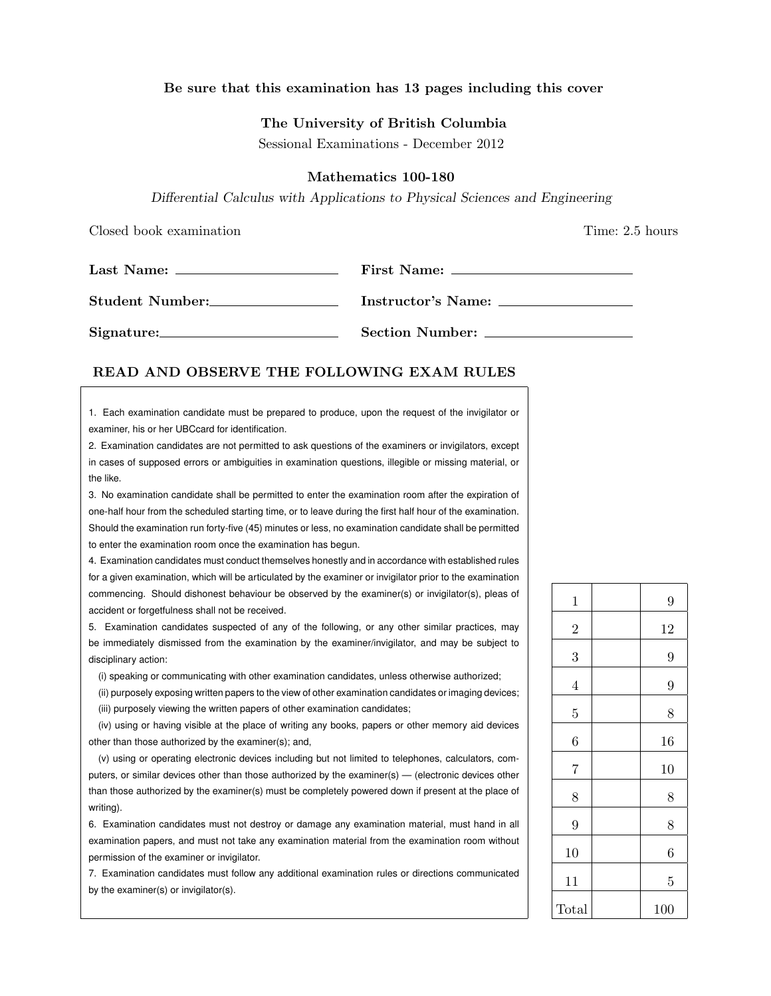## Be sure that this examination has 13 pages including this cover

#### The University of British Columbia

Sessional Examinations - December 2012

## Mathematics 100-180

Differential Calculus with Applications to Physical Sciences and Engineering

Closed book examination **Time:** 2.5 hours

|                 | First Name:            |  |  |
|-----------------|------------------------|--|--|
|                 |                        |  |  |
| Student Number: | Instructor's Name:     |  |  |
| Signature:      | <b>Section Number:</b> |  |  |

## READ AND OBSERVE THE FOLLOWING EXAM RULES

1. Each examination candidate must be prepared to produce, upon the request of the invigilator or examiner, his or her UBCcard for identification.

2. Examination candidates are not permitted to ask questions of the examiners or invigilators, except in cases of supposed errors or ambiguities in examination questions, illegible or missing material, or the like.

3. No examination candidate shall be permitted to enter the examination room after the expiration of one-half hour from the scheduled starting time, or to leave during the first half hour of the examination. Should the examination run forty-five (45) minutes or less, no examination candidate shall be permitted to enter the examination room once the examination has begun.

4. Examination candidates must conduct themselves honestly and in accordance with established rules for a given examination, which will be articulated by the examiner or invigilator prior to the examination commencing. Should dishonest behaviour be observed by the examiner(s) or invigilator(s), pleas of accident or forgetfulness shall not be received.

5. Examination candidates suspected of any of the following, or any other similar practices, may be immediately dismissed from the examination by the examiner/invigilator, and may be subject to disciplinary action:

(i) speaking or communicating with other examination candidates, unless otherwise authorized;

(ii) purposely exposing written papers to the view of other examination candidates or imaging devices; (iii) purposely viewing the written papers of other examination candidates;

(iv) using or having visible at the place of writing any books, papers or other memory aid devices other than those authorized by the examiner(s); and,

(v) using or operating electronic devices including but not limited to telephones, calculators, computers, or similar devices other than those authorized by the examiner(s) — (electronic devices other than those authorized by the examiner(s) must be completely powered down if present at the place of writing).

6. Examination candidates must not destroy or damage any examination material, must hand in all examination papers, and must not take any examination material from the examination room without permission of the examiner or invigilator.

7. Examination candidates must follow any additional examination rules or directions communicated by the examiner(s) or invigilator(s).

| $\mathbf 1$    | 9              |
|----------------|----------------|
| $\overline{2}$ | 12             |
| 3              | $\overline{9}$ |
| $\overline{4}$ | 9              |
| $\overline{5}$ | 8              |
| 6              | 16             |
| $\overline{7}$ | 10             |
| 8              | 8              |
| 9              | 8              |
| 10             | 6              |
| 11             | $\overline{5}$ |
| Total          | 100            |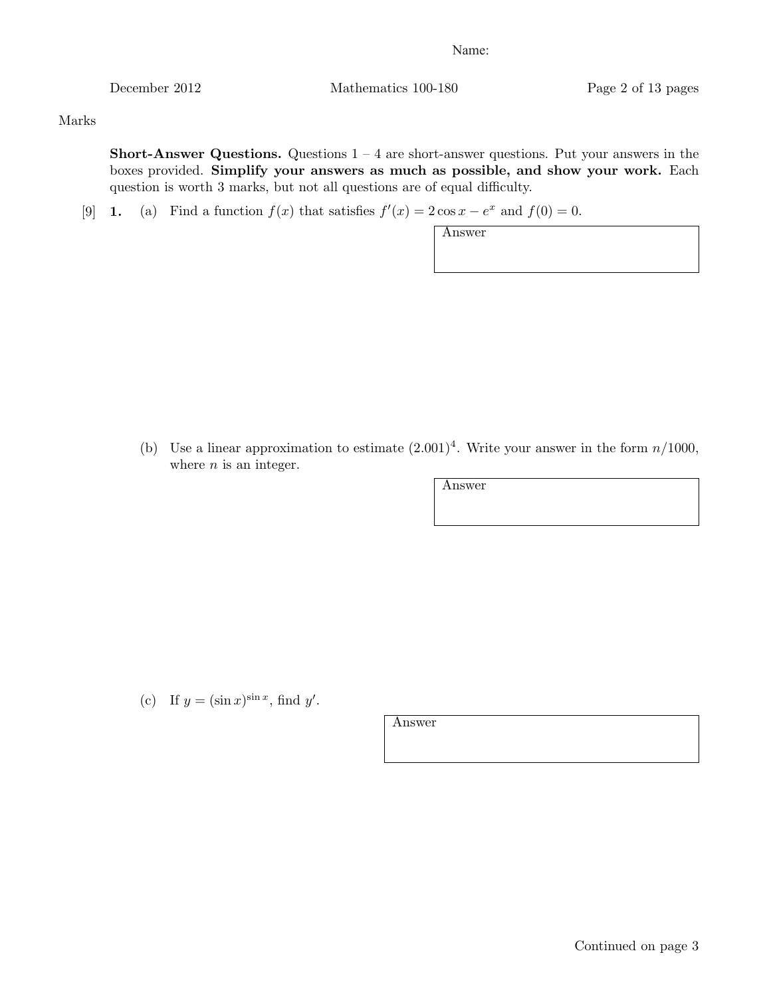December 2012 Mathematics 100-180 Page 2 of 13 pages

Marks

**Short-Answer Questions.** Questions  $1 - 4$  are short-answer questions. Put your answers in the boxes provided. Simplify your answers as much as possible, and show your work. Each question is worth 3 marks, but not all questions are of equal difficulty.

[9] **1.** (a) Find a function  $f(x)$  that satisfies  $f'(x) = 2\cos x - e^x$  and  $f(0) = 0$ .

Answer

(b) Use a linear approximation to estimate  $(2.001)^4$ . Write your answer in the form  $n/1000$ , where  $n$  is an integer.

Answer

(c) If  $y = (\sin x)^{\sin x}$ , find y'.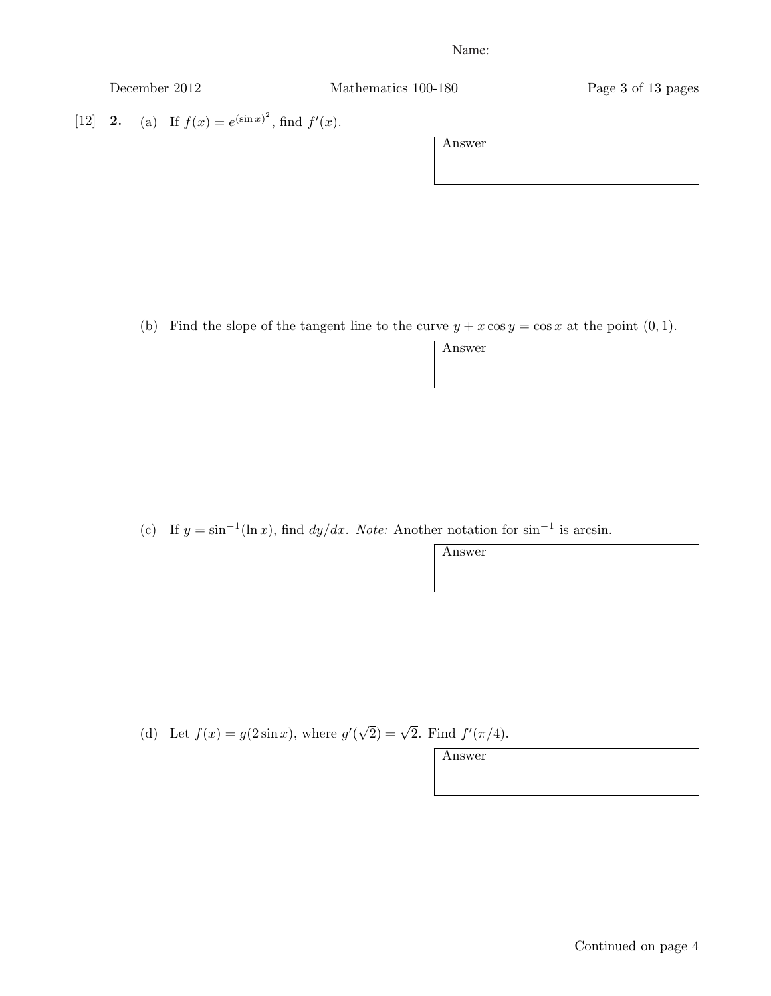| December 2012 |  |
|---------------|--|
|               |  |

Mathematics 100-180 Page 3 of 13 pages

[12] **2.** (a) If  $f(x) = e^{(\sin x)^2}$ , find  $f'(x)$ .

Answer

(b) Find the slope of the tangent line to the curve  $y + x \cos y = \cos x$  at the point  $(0, 1)$ .

Answer

Answer

(c) If  $y = \sin^{-1}(\ln x)$ , find  $dy/dx$ . Note: Another notation for  $\sin^{-1}$  is arcsin.

(d) Let  $f(x) = g(2\sin x)$ , where  $g'(\sqrt{2}) = \sqrt{2}$ . Find  $f'(\pi/4)$ .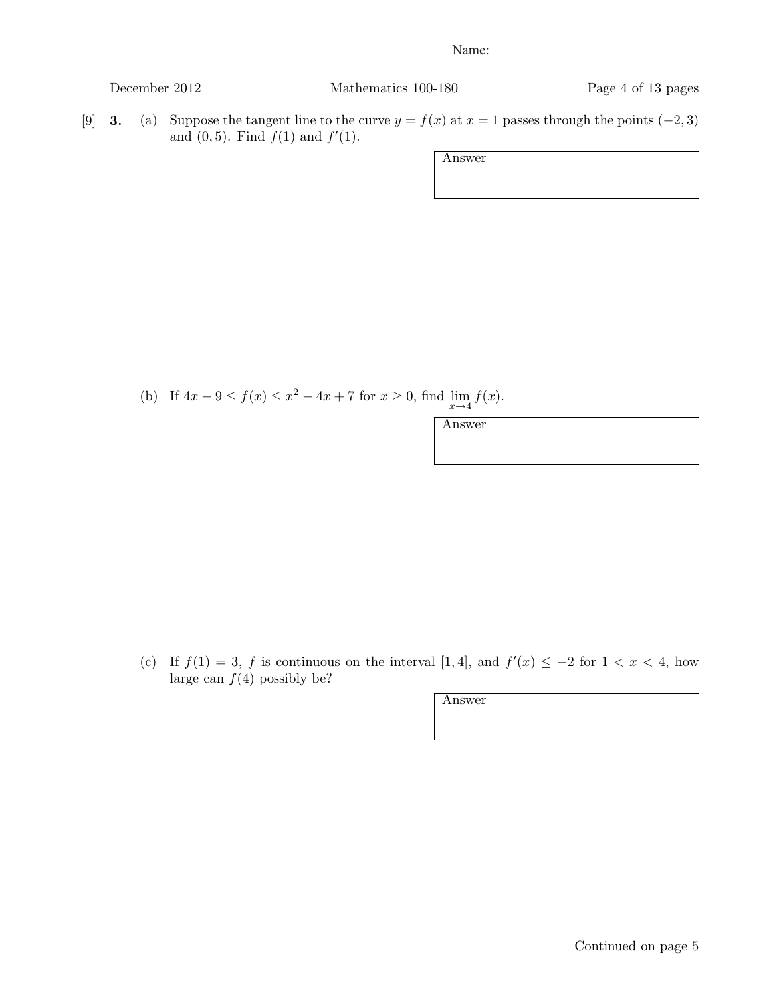December 2012 Mathematics 100-180 Page 4 of 13 pages

[9] **3.** (a) Suppose the tangent line to the curve  $y = f(x)$  at  $x = 1$  passes through the points (-2, 3) and  $(0, 5)$ . Find  $f(1)$  and  $f'(1)$ .

Answer

(b) If  $4x - 9 \le f(x) \le x^2 - 4x + 7$  for  $x \ge 0$ , find  $\lim_{x \to 4} f(x)$ .

Answer

(c) If  $f(1) = 3$ , f is continuous on the interval [1, 4], and  $f'(x) \le -2$  for  $1 < x < 4$ , how large can  $f(4)$  possibly be?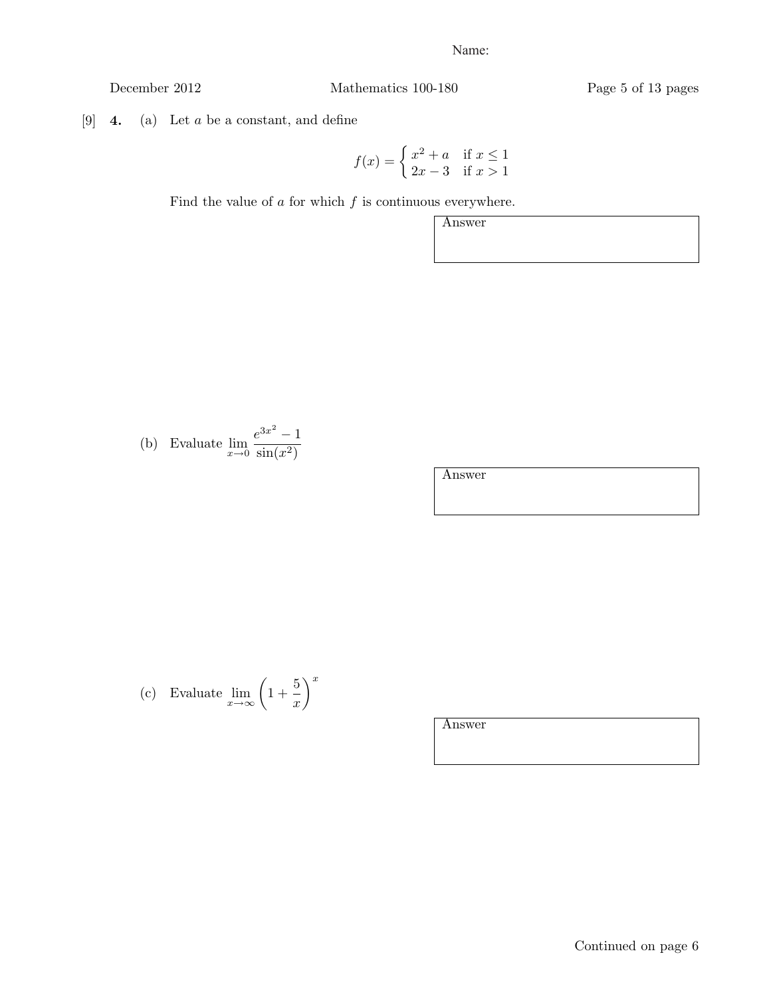December 2012 Mathematics 100-180 Page 5 of 13 pages

[9]  $\,$  4. (a) Let  $a$  be a constant, and define

$$
f(x) = \begin{cases} x^2 + a & \text{if } x \le 1\\ 2x - 3 & \text{if } x > 1 \end{cases}
$$

Find the value of  $\boldsymbol{a}$  for which  $f$  is continuous everywhere.

Answer

(b) Evaluate 
$$
\lim_{x \to 0} \frac{e^{3x^2} - 1}{\sin(x^2)}
$$

Answer

(c) Evaluate 
$$
\lim_{x \to \infty} \left(1 + \frac{5}{x}\right)^x
$$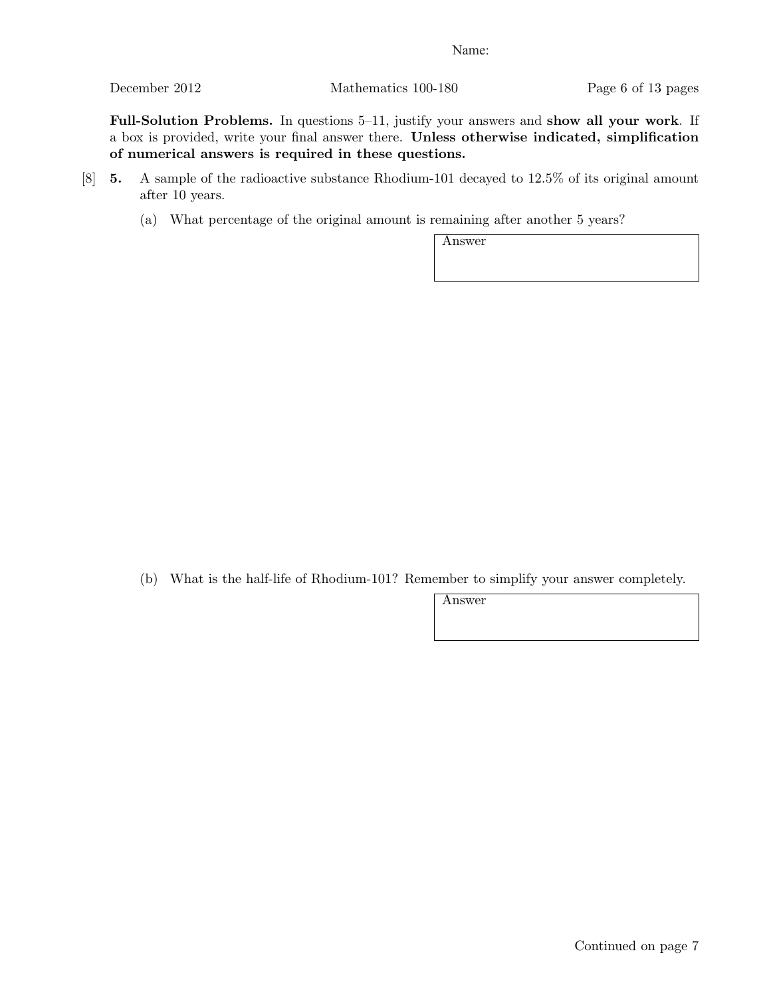December 2012 Mathematics 100-180 Page 6 of 13 pages

Full-Solution Problems. In questions 5–11, justify your answers and show all your work. If a box is provided, write your final answer there. Unless otherwise indicated, simplification of numerical answers is required in these questions.

- [8] 5. A sample of the radioactive substance Rhodium-101 decayed to 12.5% of its original amount after 10 years.
	- (a) What percentage of the original amount is remaining after another 5 years?

Answer

(b) What is the half-life of Rhodium-101? Remember to simplify your answer completely.

Answer

Continued on page 7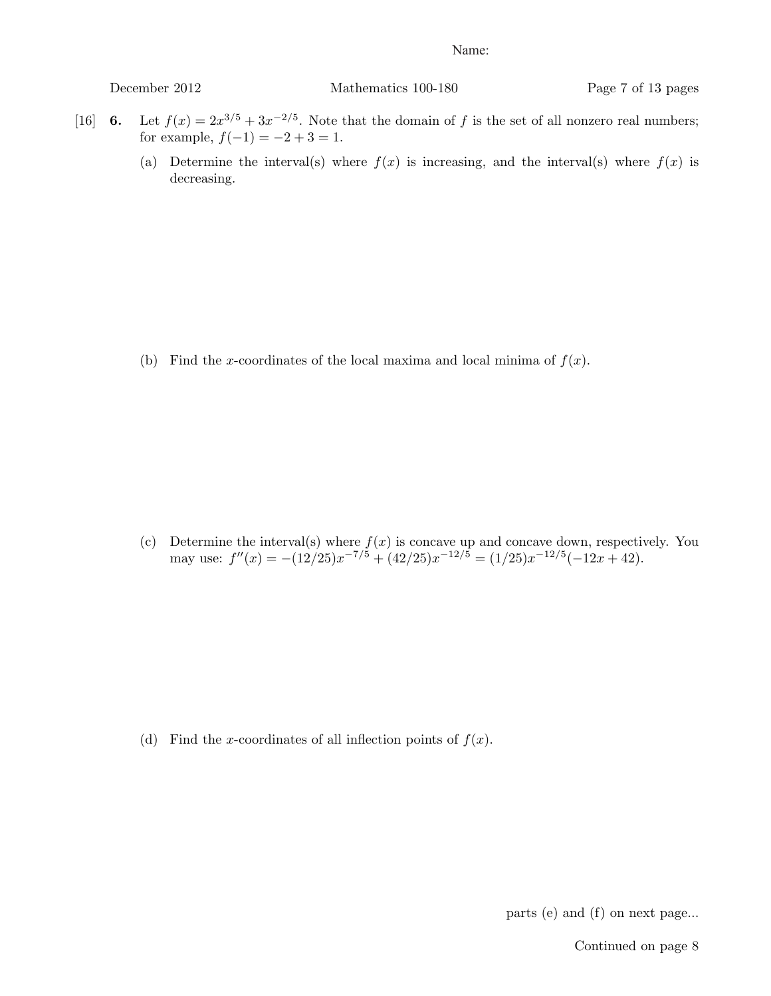December 2012 Mathematics 100-180 Page 7 of 13 pages

- [16] 6. Let  $f(x)=2x^{3/5} + 3x^{-2/5}$ . Note that the domain of f is the set of all nonzero real numbers; for example,  $f(-1) = -2 + 3 = 1$ .
	- (a) Determine the interval(s) where  $f(x)$  is increasing, and the interval(s) where  $f(x)$  is decreasing.

(b) Find the x-coordinates of the local maxima and local minima of  $f(x)$ .

(c) Determine the interval(s) where  $f(x)$  is concave up and concave down, respectively. You may use:  $f''(x) = -(12/25)x^{-7/5} + (42/25)x^{-12/5} = (1/25)x^{-12/5}(-12x+42).$ 

(d) Find the x-coordinates of all inflection points of  $f(x)$ .

parts (e) and (f) on next page...

Continued on page 8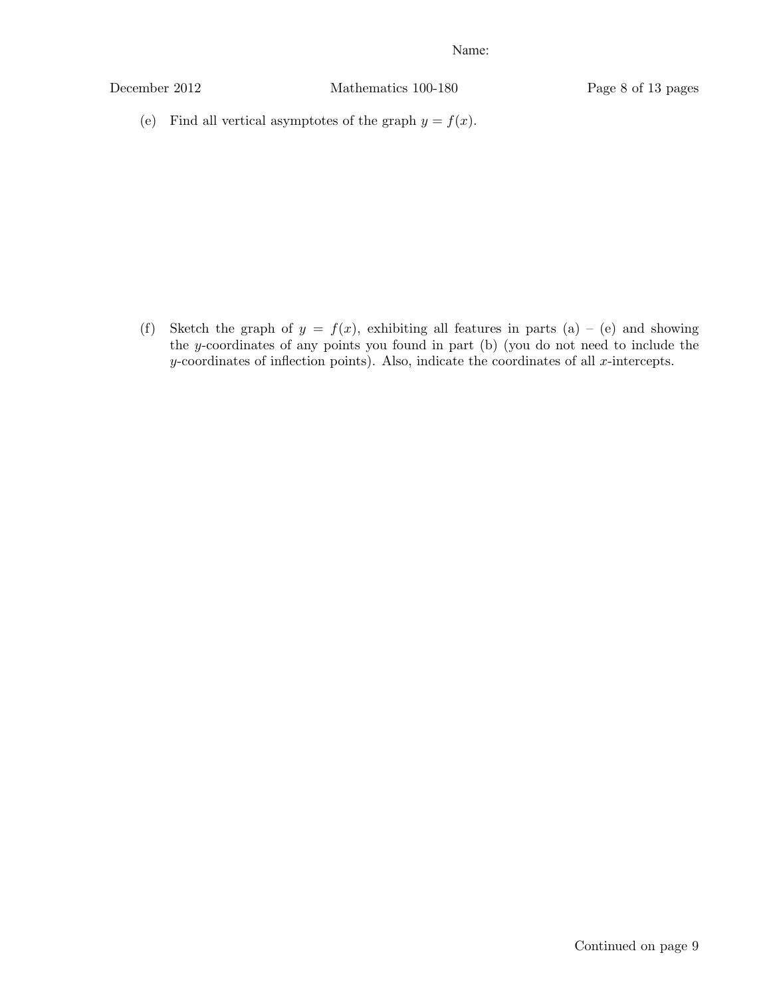December 2012 Mathematics 100-180 Page 8 of 13 pages

(e) Find all vertical asymptotes of the graph  $y = f(x)$ .

(f) Sketch the graph of  $y = f(x)$ , exhibiting all features in parts (a) – (e) and showing the y-coordinates of any points you found in part (b) (you do not need to include the  $y$ -coordinates of inflection points). Also, indicate the coordinates of all  $x$ -intercepts.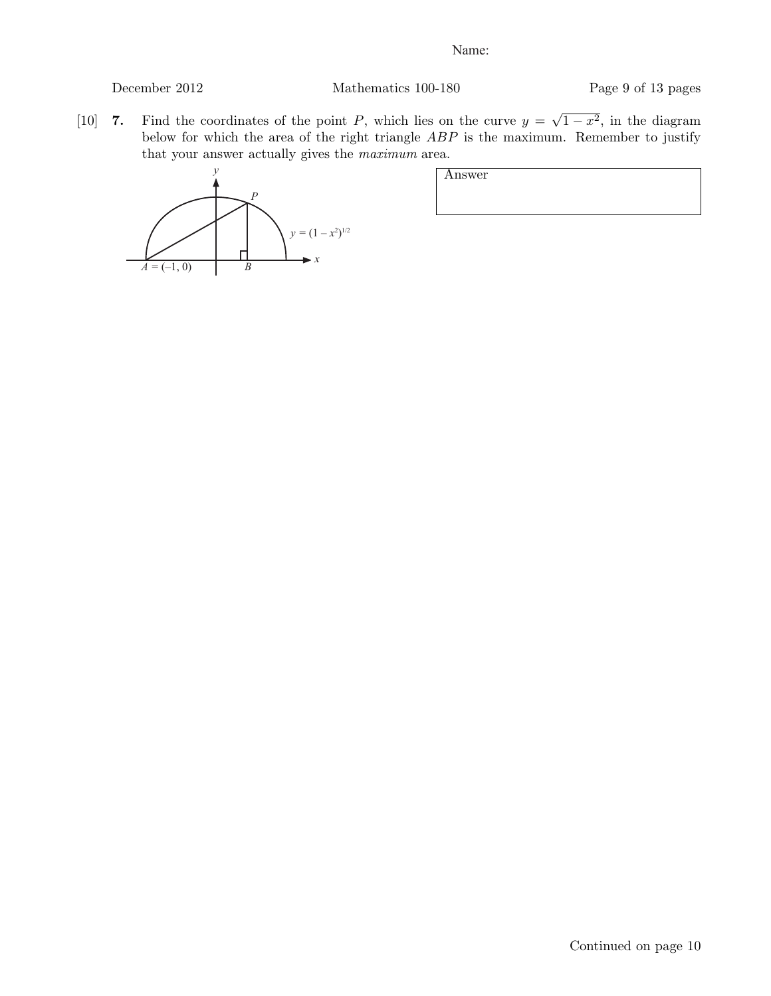# December 2012 Mathematics 100-180 Page 9 of 13 pages

[10] 7. Find the coordinates of the point P, which lies on the curve  $y = \sqrt{1-x^2}$ , in the diagram below for which the area of the right triangle ABP is the maximum. Remember to justify that your answer actually gives the maximum area.



| Answer |  |  |  |
|--------|--|--|--|
|        |  |  |  |
|        |  |  |  |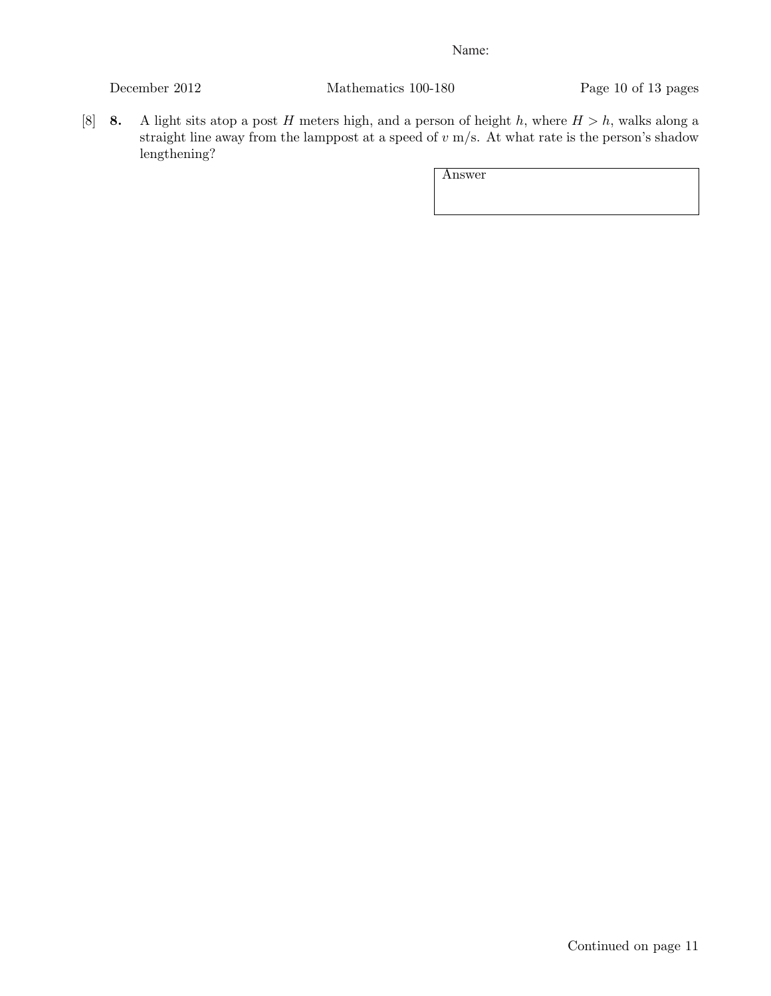December 2012 Mathematics 100-180 Page 10 of 13 pages

[8] **8.** A light sits atop a post H meters high, and a person of height h, where  $H > h$ , walks along a straight line away from the lamppost at a speed of  $v$  m/s. At what rate is the person's shadow lengthening?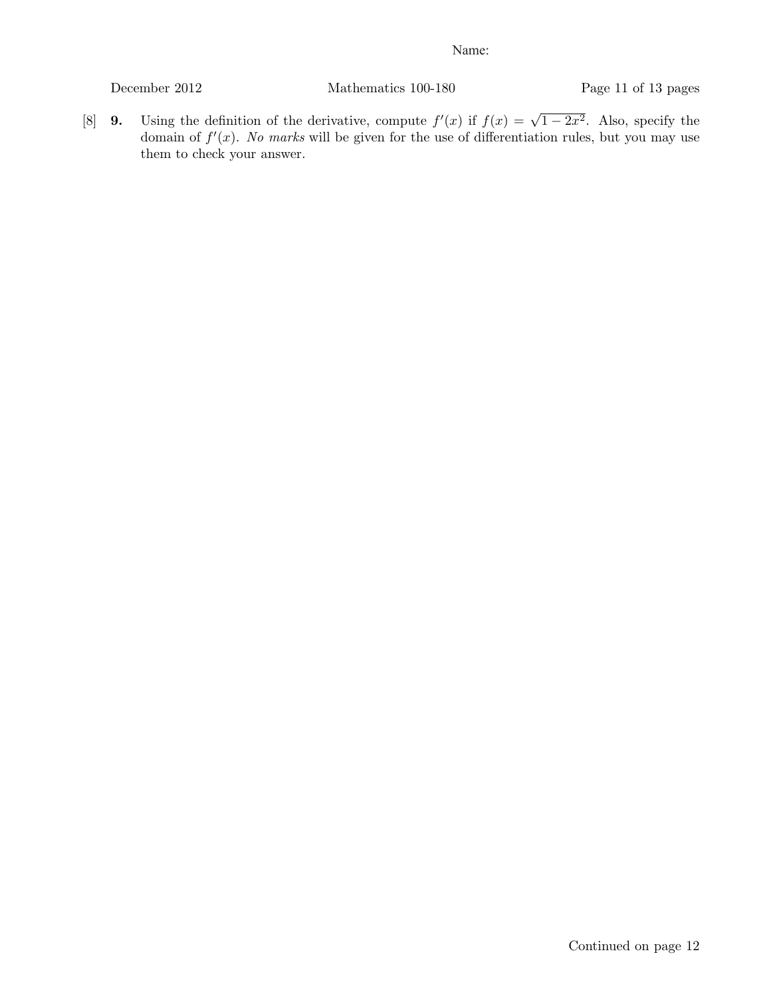December 2012 Mathematics 100-180 Page 11 of 13 pages

[8] **9.** Using the definition of the derivative, compute  $f'(x)$  if  $f(x) = \sqrt{1-2x^2}$ . Also, specify the domain of  $f'(x)$ . No marks will be given for the use of differentiation rules, but you may use them to check your answer.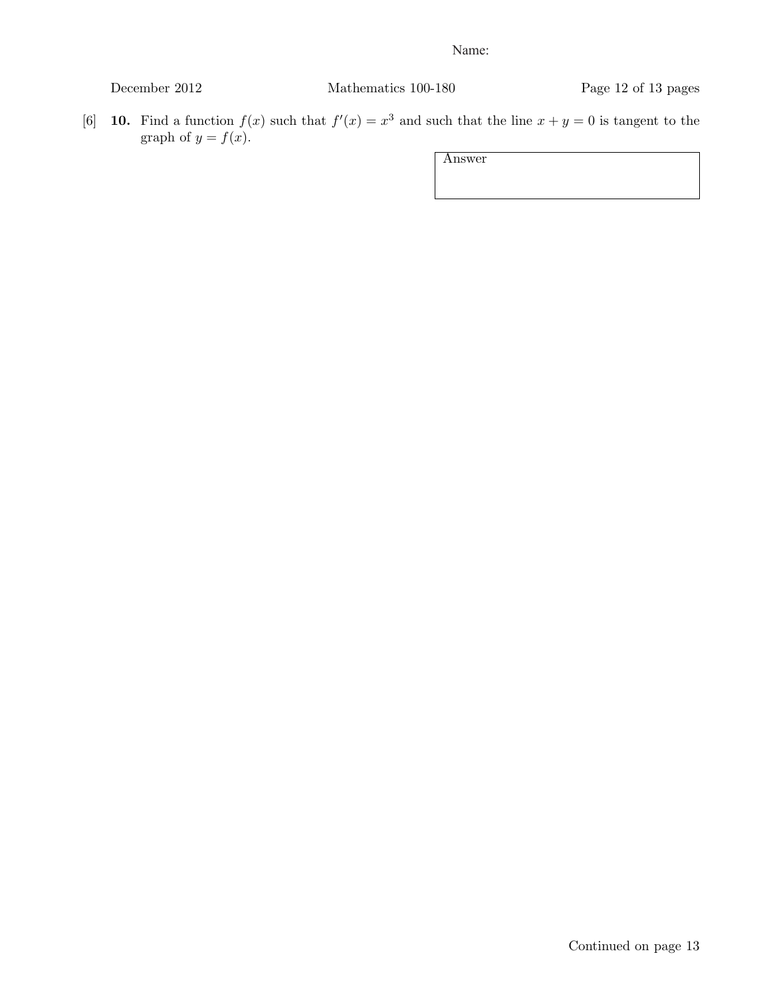[6] **10.** Find a function  $f(x)$  such that  $f'(x) = x^3$  and such that the line  $x + y = 0$  is tangent to the graph of  $y = f(x)$ .